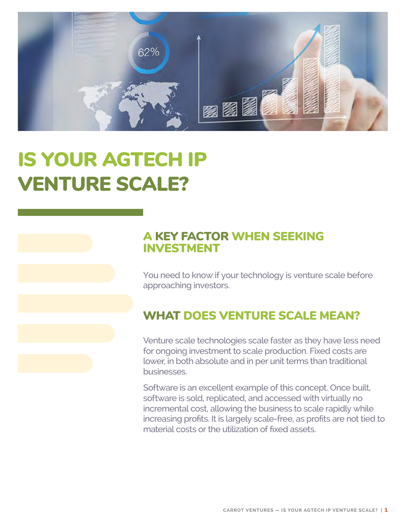

# IS YOUR AGTECH IP VENTURE SCALE?

### A KEY FACTOR WHEN SEEKING INVESTMENT

You need to know if your technology is venture scale before approaching investors.

### WHAT DOES VENTURE SCALE MEAN?

Venture scale technologies scale faster as they have less need for ongoing investment to scale production. Fixed costs are lower, in both absolute and in per unit terms than traditional businesses.

Software is an excellent example of this concept. Once built, software is sold, replicated, and accessed with virtually no incremental cost, allowing the business to scale rapidly while increasing profits. It is largely scale-free, as profits are not tied to material costs or the utilization of fixed assets.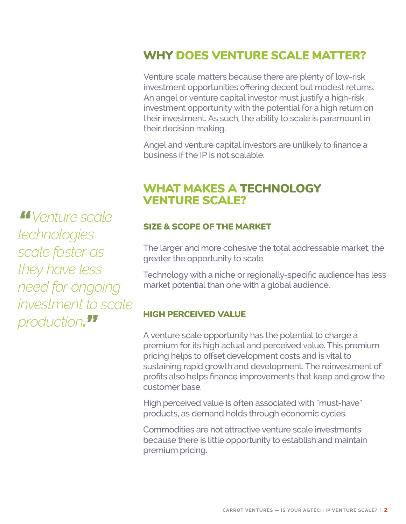### WHY DOES VENTURE SCALE MATTER?

Venture scale matters because there are plenty of low-risk investment opportunities offering decent but modest returns. An angel or venture capital investor must justify a high-risk investment opportunity with the potential for a high return on their investment. As such, the ability to scale is paramount in their decision making.

Angel and venture capital investors are unlikely to finance a business if the IP is not scalable.

### WHAT MAKES A TECHNOLOGY VENTURE SCALE??

#### SIZE & SCOPE OF THE MARKET

The larger and more cohesive the total addressable market, the greater the opportunity to scale.

Technology with a niche or regionally-specific audience has less market potential than one with a global audience.

#### HIGH PERCEIVED VALUE

A venture scale opportunity has the potential to charge a premium for its high actual and perceived value. This premium pricing helps to offset development costs and is vital to sustaining rapid growth and development. The reinvestment of profits also helps finance improvements that keep and grow the customer base.

High perceived value is often associated with "must-have" products, as demand holds through economic cycles.

Commodities are not attractive venture scale investments because there is little opportunity to establish and maintain premium pricing.

*"Venture scale technologies scale faster as they have less need for ongoing investment to scale production. "*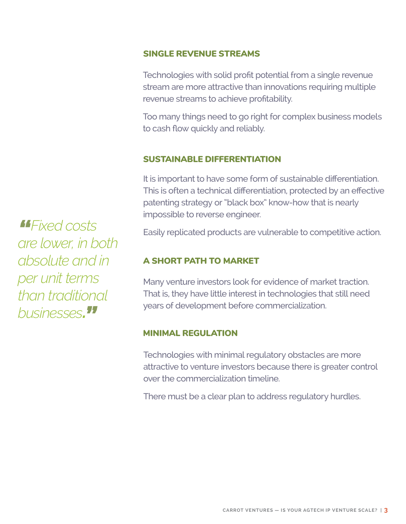#### SINGLE REVENUE STREAMS

Technologies with solid profit potential from a single revenue stream are more attractive than innovations requiring multiple revenue streams to achieve profitability.

Too many things need to go right for complex business models to cash flow quickly and reliably.

#### SUSTAINABLE DIFFERENTIATION

It is important to have some form of sustainable differentiation. This is often a technical differentiation, protected by an effective patenting strategy or "black box" know-how that is nearly impossible to reverse engineer.

Easily replicated products are vulnerable to competitive action.

#### A SHORT PATH TO MARKET

Many venture investors look for evidence of market traction. That is, they have little interest in technologies that still need years of development before commercialization.

#### MINIMAL REGULATION

Technologies with minimal regulatory obstacles are more attractive to venture investors because there is greater control over the commercialization timeline.

There must be a clear plan to address regulatory hurdles.

*"Fixed costs are lower, in both absolute and in per unit terms than traditional businesses. "*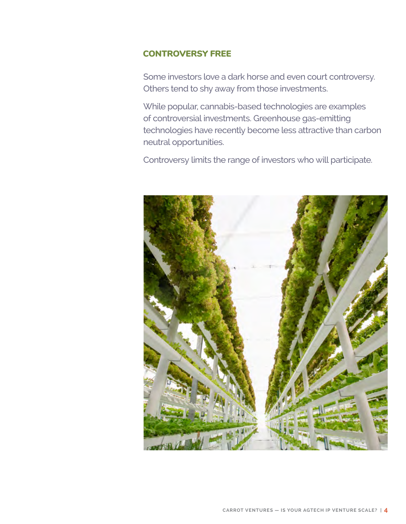#### CONTROVERSY FREE

Some investors love a dark horse and even court controversy. Others tend to shy away from those investments.

While popular, cannabis-based technologies are examples of controversial investments. Greenhouse gas-emitting technologies have recently become less attractive than carbon neutral opportunities.

Controversy limits the range of investors who will participate.

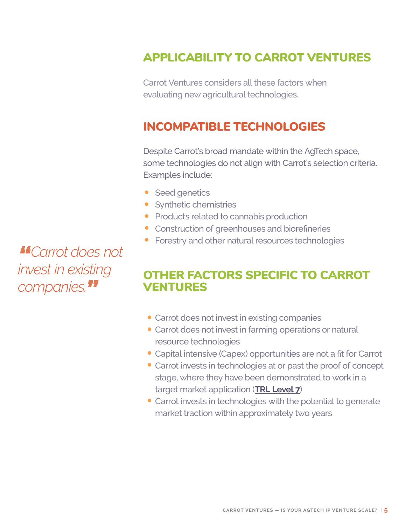### APPLICABILITY TO CARROT VENTURES

Carrot Ventures considers all these factors when evaluating new agricultural technologies.

### INCOMPATIBLE TECHNOLOGIES

Despite Carrot's broad mandate within the AgTech space, some technologies do not align with Carrot's selection criteria. Examples include:

- Seed genetics
- Synthetic chemistries
- Products related to cannabis production
- Construction of greenhouses and biorefineries
- Forestry and other natural resources technologies

### OTHER FACTORS SPECIFIC TO CARROT VENTURES

- Carrot does not invest in existing companies
- Carrot does not invest in farming operations or natural resource technologies
- Capital intensive (Capex) opportunities are not a fit for Carrot
- Carrot invests in technologies at or past the proof of concept stage, where they have been demonstrated to work in a target market application (**[TRL Level 7](https://www.ic.gc.ca/eic/site/101.nsf/eng/00077.html)**)
- Carrot invests in technologies with the potential to generate market traction within approximately two years

*"Carrot does not invest in existing companies."*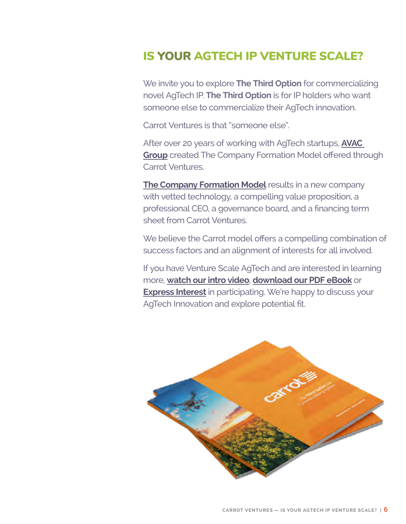### IS YOUR AGTECH IP VENTURE SCALE?

We invite you to explore **The Third Option** for commercializing novel AgTech IP. **The Third Option** is for IP holders who want someone else to commercialize their AgTech innovation.

Carrot Ventures is that "someone else".

After over 20 years of working with AgTech startups, **[AVAC](https://avacgrp.com/)  [Group](https://avacgrp.com/)** created The Company Formation Model offered through Carrot Ventures.

**[The Company Formation Model](https://carrotventures.com/how-does-it-work/)** results in a new company with vetted technology, a compelling value proposition, a professional CEO, a governance board, and a financing term sheet from Carrot Ventures.

We believe the Carrot model offers a compelling combination of success factors and an alignment of interests for all involved.

If you have Venture Scale AgTech and are interested in learning more, **[watch our intro video](https://carrotventures.com/)**, **[download our PDF eBook](https://carrotventures.com/download-access/)** or **[Express Interest](https://carrotventures.com/contact-carrot-ventures/?gfield_radio=Express%20Interest)** in participating. We're happy to discuss your AgTech Innovation and explore potential fit.